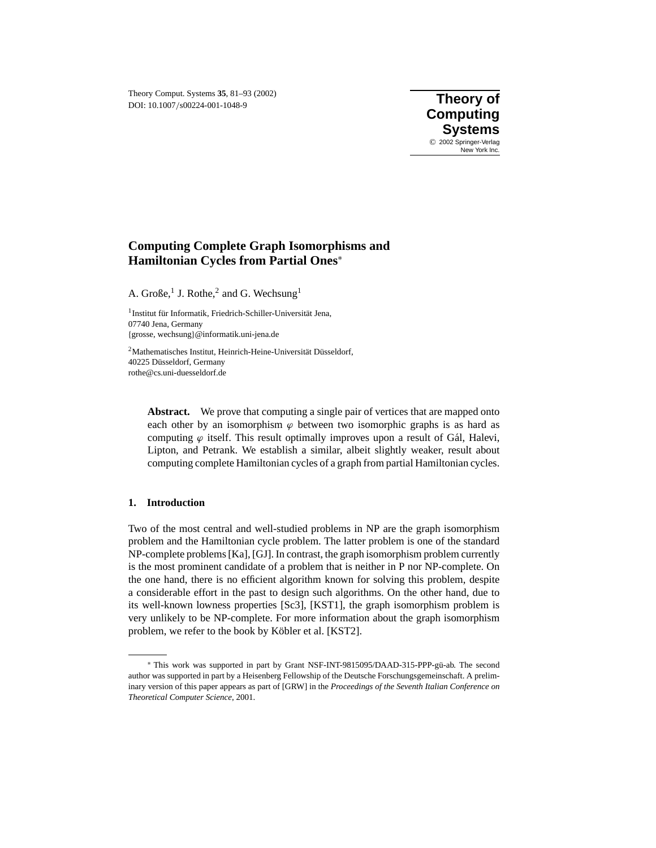DOI: 10.1007/s00224-001-1048-9 Theory Comput. Systems **<sup>35</sup>**, 81–93 (2002) **Theory of**

**Computing Systems** © 2002 Springer-Verlag New York Inc.

# **Computing Complete Graph Isomorphisms and Hamiltonian Cycles from Partial Ones**<sup>∗</sup>

A. Große,<sup>1</sup> J. Rothe,<sup>2</sup> and G. Wechsung<sup>1</sup>

<sup>1</sup> Institut für Informatik, Friedrich-Schiller-Universität Jena, 07740 Jena, Germany {grosse, wechsung}@informatik.uni-jena.de

<sup>2</sup>Mathematisches Institut, Heinrich-Heine-Universität Düsseldorf, 40225 Düsseldorf, Germany rothe@cs.uni-duesseldorf.de

**Abstract.** We prove that computing a single pair of vertices that are mapped onto each other by an isomorphism  $\varphi$  between two isomorphic graphs is as hard as computing  $\varphi$  itself. This result optimally improves upon a result of G $\varphi$ i, Halevi, Lipton, and Petrank. We establish a similar, albeit slightly weaker, result about computing complete Hamiltonian cycles of a graph from partial Hamiltonian cycles.

# **1. Introduction**

Two of the most central and well-studied problems in NP are the graph isomorphism problem and the Hamiltonian cycle problem. The latter problem is one of the standard NP-complete problems [Ka], [GJ]. In contrast, the graph isomorphism problem currently is the most prominent candidate of a problem that is neither in P nor NP-complete. On the one hand, there is no efficient algorithm known for solving this problem, despite a considerable effort in the past to design such algorithms. On the other hand, due to its well-known lowness properties [Sc3], [KST1], the graph isomorphism problem is very unlikely to be NP-complete. For more information about the graph isomorphism problem, we refer to the book by Köbler et al. [KST2].

<sup>∗</sup> This work was supported in part by Grant NSF-INT-9815095/DAAD-315-PPP-g¨u-ab. The second author was supported in part by a Heisenberg Fellowship of the Deutsche Forschungsgemeinschaft. A preliminary version of this paper appears as part of [GRW] in the *Proceedings of the Seventh Italian Conference on Theoretical Computer Science*, 2001.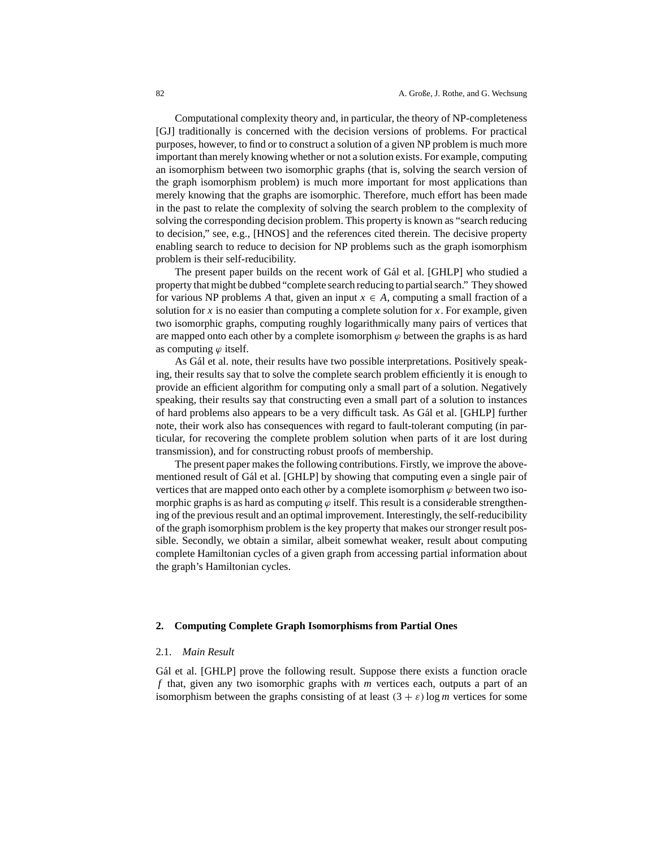Computational complexity theory and, in particular, the theory of NP-completeness [GJ] traditionally is concerned with the decision versions of problems. For practical purposes, however, to find or to construct a solution of a given NP problem is much more important than merely knowing whether or not a solution exists. For example, computing an isomorphism between two isomorphic graphs (that is, solving the search version of the graph isomorphism problem) is much more important for most applications than merely knowing that the graphs are isomorphic. Therefore, much effort has been made in the past to relate the complexity of solving the search problem to the complexity of solving the corresponding decision problem. This property is known as "search reducing to decision," see, e.g., [HNOS] and the references cited therein. The decisive property enabling search to reduce to decision for NP problems such as the graph isomorphism problem is their self-reducibility.

The present paper builds on the recent work of G $\hat{a}$ l et al. [GHLP] who studied a property that might be dubbed "complete search reducing to partial search." They showed for various NP problems *A* that, given an input  $x \in A$ , computing a small fraction of a solution for  $x$  is no easier than computing a complete solution for  $x$ . For example, given two isomorphic graphs, computing roughly logarithmically many pairs of vertices that are mapped onto each other by a complete isomorphism  $\varphi$  between the graphs is as hard as computing  $\varphi$  itself.

As Gál et al. note, their results have two possible interpretations. Positively speaking, their results say that to solve the complete search problem efficiently it is enough to provide an efficient algorithm for computing only a small part of a solution. Negatively speaking, their results say that constructing even a small part of a solution to instances of hard problems also appears to be a very difficult task. As Gál et al. [GHLP] further note, their work also has consequences with regard to fault-tolerant computing (in particular, for recovering the complete problem solution when parts of it are lost during transmission), and for constructing robust proofs of membership.

The present paper makes the following contributions. Firstly, we improve the abovementioned result of Ga<sup>l</sup> et al. [GHLP] by showing that computing even a single pair of vertices that are mapped onto each other by a complete isomorphism  $\varphi$  between two isomorphic graphs is as hard as computing  $\varphi$  itself. This result is a considerable strengthening of the previous result and an optimal improvement. Interestingly, the self-reducibility of the graph isomorphism problem is the key property that makes our stronger result possible. Secondly, we obtain a similar, albeit somewhat weaker, result about computing complete Hamiltonian cycles of a given graph from accessing partial information about the graph's Hamiltonian cycles.

#### **2. Computing Complete Graph Isomorphisms from Partial Ones**

# 2.1. *Main Result*

Gál et al. [GHLP] prove the following result. Suppose there exists a function oracle *f* that, given any two isomorphic graphs with *m* vertices each, outputs a part of an isomorphism between the graphs consisting of at least  $(3 + \varepsilon) \log m$  vertices for some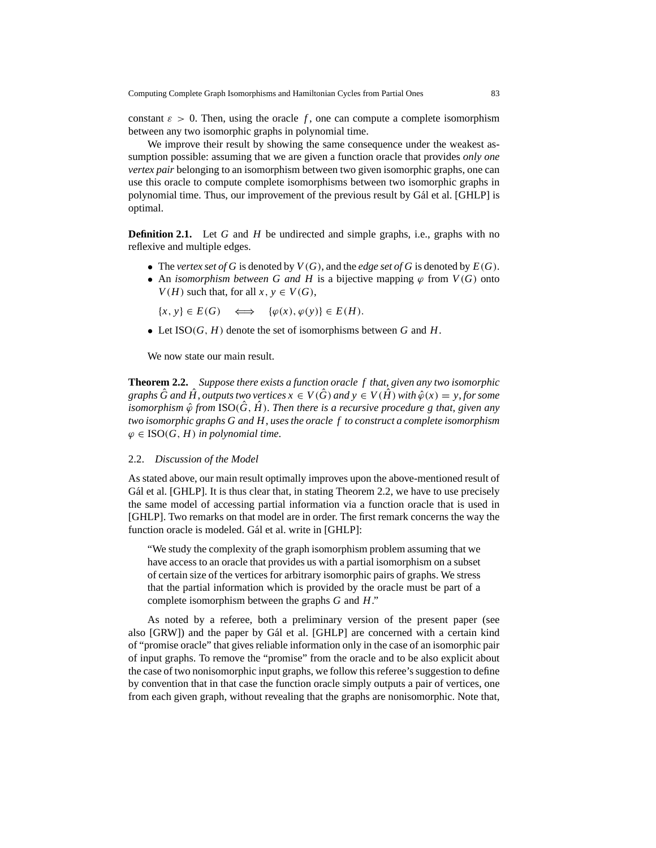constant  $\varepsilon > 0$ . Then, using the oracle f, one can compute a complete isomorphism between any two isomorphic graphs in polynomial time.

We improve their result by showing the same consequence under the weakest assumption possible: assuming that we are given a function oracle that provides *only one vertex pair* belonging to an isomorphism between two given isomorphic graphs, one can use this oracle to compute complete isomorphisms between two isomorphic graphs in polynomial time. Thus, our improvement of the previous result by Ga<sup>l</sup> et al. [GHLP] is optimal.

**Definition 2.1.** Let *G* and *H* be undirected and simple graphs, i.e., graphs with no reflexive and multiple edges.

- The *vertex set of G* is denoted by  $V(G)$ , and the *edge set of G* is denoted by  $E(G)$ .
- An *isomorphism between G and H* is a bijective mapping  $\varphi$  from  $V(G)$  onto *V*(*H*) such that, for all *x*,  $y \in V(G)$ ,

 $\{x, y\} \in E(G) \iff \{\varphi(x), \varphi(y)\} \in E(H).$ 

• Let ISO(*G*, *H*) denote the set of isomorphisms between *G* and *H*.

We now state our main result.

**Theorem 2.2.** *Suppose there exists a function oracle f that*, *given any two isomorphic graphs*  $\hat{G}$  *and*  $\hat{H}$ *, outputs two vertices*  $x \in V(\hat{G})$  *and*  $y \in V(\hat{H})$  *with*  $\hat{\varphi}(x) = y$ *, for some isomorphism* ϕˆ *from* ISO(*G*ˆ , *H*ˆ). *Then there is a recursive procedure g that*, *given any two isomorphic graphs G and H*, *uses the oracle f to construct a complete isomorphism*  $\varphi \in ISO(G, H)$  *in polynomial time.* 

## 2.2. *Discussion of the Model*

As stated above, our main result optimally improves upon the above-mentioned result of Gat et al. [GHLP]. It is thus clear that, in stating Theorem 2.2, we have to use precisely the same model of accessing partial information via a function oracle that is used in [GHLP]. Two remarks on that model are in order. The first remark concerns the way the function oracle is modeled. Gál et al. write in [GHLP]:

"We study the complexity of the graph isomorphism problem assuming that we have access to an oracle that provides us with a partial isomorphism on a subset of certain size of the vertices for arbitrary isomorphic pairs of graphs. We stress that the partial information which is provided by the oracle must be part of a complete isomorphism between the graphs *G* and *H*."

As noted by a referee, both a preliminary version of the present paper (see also [GRW]) and the paper by Gat et al. [GHLP] are concerned with a certain kind of "promise oracle" that gives reliable information only in the case of an isomorphic pair of input graphs. To remove the "promise" from the oracle and to be also explicit about the case of two nonisomorphic input graphs, we follow this referee's suggestion to define by convention that in that case the function oracle simply outputs a pair of vertices, one from each given graph, without revealing that the graphs are nonisomorphic. Note that,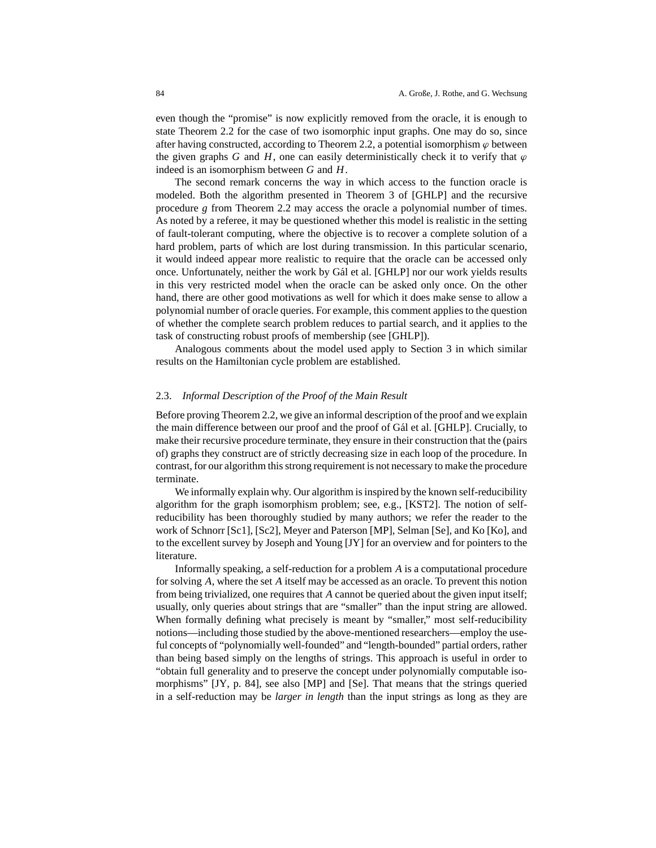even though the "promise" is now explicitly removed from the oracle, it is enough to state Theorem 2.2 for the case of two isomorphic input graphs. One may do so, since after having constructed, according to Theorem 2.2, a potential isomorphism  $\varphi$  between the given graphs *G* and *H*, one can easily deterministically check it to verify that  $\varphi$ indeed is an isomorphism between *G* and *H*.

The second remark concerns the way in which access to the function oracle is modeled. Both the algorithm presented in Theorem 3 of [GHLP] and the recursive procedure *g* from Theorem 2.2 may access the oracle a polynomial number of times. As noted by a referee, it may be questioned whether this model is realistic in the setting of fault-tolerant computing, where the objective is to recover a complete solution of a hard problem, parts of which are lost during transmission. In this particular scenario, it would indeed appear more realistic to require that the oracle can be accessed only once. Unfortunately, neither the work by Gál et al. [GHLP] nor our work yields results in this very restricted model when the oracle can be asked only once. On the other hand, there are other good motivations as well for which it does make sense to allow a polynomial number of oracle queries. For example, this comment applies to the question of whether the complete search problem reduces to partial search, and it applies to the task of constructing robust proofs of membership (see [GHLP]).

Analogous comments about the model used apply to Section 3 in which similar results on the Hamiltonian cycle problem are established.

## 2.3. *Informal Description of the Proof of the Main Result*

Before proving Theorem 2.2, we give an informal description of the proof and we explain the main difference between our proof and the proof of Gál et al. [GHLP]. Crucially, to make their recursive procedure terminate, they ensure in their construction that the (pairs of) graphs they construct are of strictly decreasing size in each loop of the procedure. In contrast, for our algorithm this strong requirement is not necessary to make the procedure terminate.

We informally explain why. Our algorithm is inspired by the known self-reducibility algorithm for the graph isomorphism problem; see, e.g., [KST2]. The notion of selfreducibility has been thoroughly studied by many authors; we refer the reader to the work of Schnorr [Sc1], [Sc2], Meyer and Paterson [MP], Selman [Se], and Ko [Ko], and to the excellent survey by Joseph and Young [JY] for an overview and for pointers to the literature.

Informally speaking, a self-reduction for a problem *A* is a computational procedure for solving *A*, where the set *A* itself may be accessed as an oracle. To prevent this notion from being trivialized, one requires that *A* cannot be queried about the given input itself; usually, only queries about strings that are "smaller" than the input string are allowed. When formally defining what precisely is meant by "smaller," most self-reducibility notions—including those studied by the above-mentioned researchers—employ the useful concepts of "polynomially well-founded" and "length-bounded" partial orders, rather than being based simply on the lengths of strings. This approach is useful in order to "obtain full generality and to preserve the concept under polynomially computable isomorphisms" [JY, p. 84], see also [MP] and [Se]. That means that the strings queried in a self-reduction may be *larger in length* than the input strings as long as they are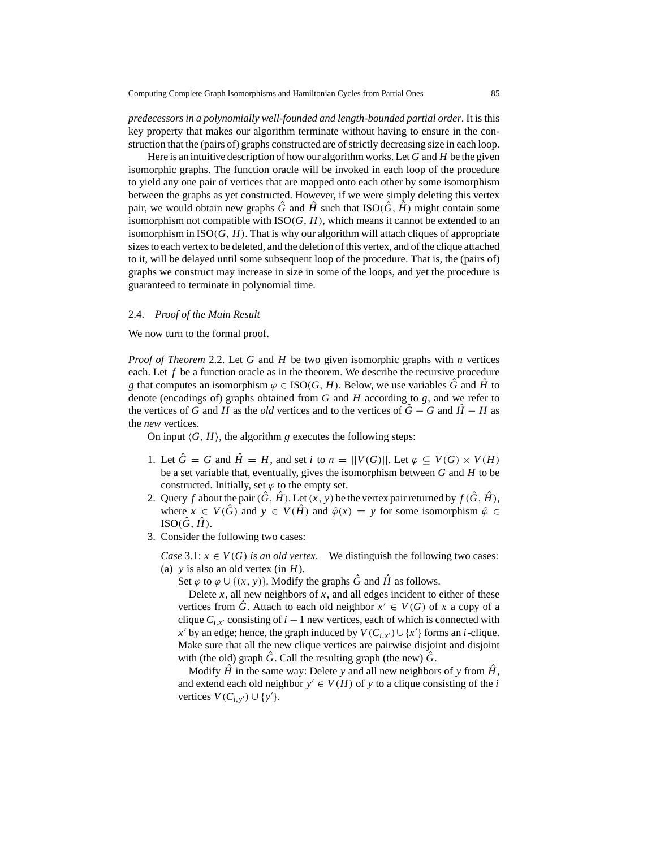*predecessors in a polynomially well-founded and length-bounded partial order*. It is this key property that makes our algorithm terminate without having to ensure in the construction that the (pairs of) graphs constructed are of strictly decreasing size in each loop.

Here is an intuitive description of how our algorithm works. Let *G* and *H* be the given isomorphic graphs. The function oracle will be invoked in each loop of the procedure to yield any one pair of vertices that are mapped onto each other by some isomorphism between the graphs as yet constructed. However, if we were simply deleting this vertex pair, we would obtain new graphs  $\hat{G}$  and  $\hat{H}$  such that  $ISO(\hat{G}, \hat{H})$  might contain some isomorphism not compatible with  $ISO(G, H)$ , which means it cannot be extended to an isomorphism in  $ISO(G, H)$ . That is why our algorithm will attach cliques of appropriate sizes to each vertex to be deleted, and the deletion of this vertex, and of the clique attached to it, will be delayed until some subsequent loop of the procedure. That is, the (pairs of) graphs we construct may increase in size in some of the loops, and yet the procedure is guaranteed to terminate in polynomial time.

#### 2.4. *Proof of the Main Result*

We now turn to the formal proof.

*Proof of Theorem* 2.2. Let *G* and *H* be two given isomorphic graphs with *n* vertices each. Let *f* be a function oracle as in the theorem. We describe the recursive procedure *g* that computes an isomorphism  $\varphi \in ISO(G, H)$ . Below, we use variables  $\tilde{G}$  and  $\tilde{H}$  to denote (encodings of) graphs obtained from *G* and *H* according to *g*, and we refer to the vertices of *G* and *H* as the *old* vertices and to the vertices of  $\hat{G}$  − *G* and  $\hat{H}$  − *H* as the *new* vertices.

On input  $\langle G, H \rangle$ , the algorithm *g* executes the following steps:

- 1. Let  $\hat{G} = G$  and  $\hat{H} = H$ , and set *i* to  $n = ||V(G)||$ . Let  $\varphi \subseteq V(G) \times V(H)$ be a set variable that, eventually, gives the isomorphism between *G* and *H* to be constructed. Initially, set  $\varphi$  to the empty set.
- 2. Query *f* about the pair  $(\hat{G}, \hat{H})$ . Let  $(x, y)$  be the vertex pair returned by  $f(\hat{G}, \hat{H})$ , where  $x \in V(\hat{G})$  and  $y \in V(\hat{H})$  and  $\hat{\varphi}(x) = y$  for some isomorphism  $\hat{\varphi} \in$  $ISO(\hat{G}, \hat{H}).$
- 3. Consider the following two cases:

*Case* 3.1:  $x \in V(G)$  *is an old vertex.* We distinguish the following two cases: (a) *y* is also an old vertex (in *H*).

Set  $\varphi$  to  $\varphi \cup \{(x, y)\}\)$ . Modify the graphs  $\hat{G}$  and  $\hat{H}$  as follows.

Delete  $x$ , all new neighbors of  $x$ , and all edges incident to either of these vertices from  $\hat{G}$ . Attach to each old neighbor  $x' \in V(G)$  of *x* a copy of a clique  $C_{i,x'}$  consisting of  $i-1$  new vertices, each of which is connected with *x*<sup> $\prime$ </sup> by an edge; hence, the graph induced by  $V(C_{i,x}) \cup \{x'\}$  forms an *i*-clique. Make sure that all the new clique vertices are pairwise disjoint and disjoint with (the old) graph  $\ddot{G}$ . Call the resulting graph (the new)  $\ddot{G}$ .

Modify  $\hat{H}$  in the same way: Delete *y* and all new neighbors of *y* from  $\hat{H}$ , and extend each old neighbor  $y' \in V(H)$  of *y* to a clique consisting of the *i* vertices  $V(C_{i,y'}) \cup \{y'\}.$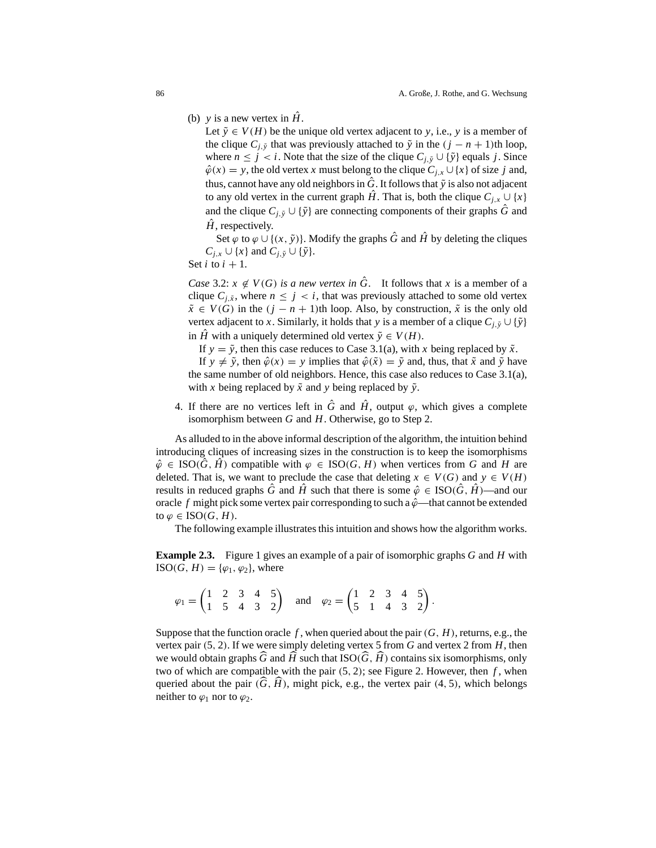(b) *y* is a new vertex in  $\hat{H}$ .

Let  $\tilde{y} \in V(H)$  be the unique old vertex adjacent to *y*, i.e., *y* is a member of the clique  $C_{j,\tilde{y}}$  that was previously attached to  $\tilde{y}$  in the  $(j - n + 1)$ th loop, where  $n \leq j < i$ . Note that the size of the clique  $C_{j, \tilde{y}} \cup {\tilde{y}}$  equals *j*. Since  $\hat{\varphi}(x) = y$ , the old vertex *x* must belong to the clique  $C_{j,x} \cup \{x\}$  of size *j* and, thus, cannot have any old neighbors in  $\hat{G}$ . It follows that  $\tilde{y}$  is also not adjacent to any old vertex in the current graph *H*. That is, both the clique  $C_{j,x} \cup \{x\}$ and the clique  $C_{i,\tilde{y}} \cup {\tilde{y}}$  are connecting components of their graphs  $\hat{G}$  and  $\hat{H}$ , respectively.

Set  $\varphi$  to  $\varphi \cup \{(x, \tilde{y})\}$ . Modify the graphs  $\hat{G}$  and  $\hat{H}$  by deleting the cliques  $C_{j,x} \cup \{x\}$  and  $C_{j,\tilde{y}} \cup \{\tilde{y}\}.$ 

Set *i* to  $i + 1$ .

*Case* 3.2:  $x \notin V(G)$  *is a new vertex in*  $\hat{G}$ . It follows that *x* is a member of a clique  $C_{i,\tilde{x}}$ , where  $n \leq j \leq i$ , that was previously attached to some old vertex  $\tilde{x} \in V(G)$  in the  $(j - n + 1)$ th loop. Also, by construction,  $\tilde{x}$  is the only old vertex adjacent to *x*. Similarly, it holds that *y* is a member of a clique  $C_{i, \tilde{y}} \cup {\tilde{y}}$ in  $\hat{H}$  with a uniquely determined old vertex  $\tilde{y} \in V(H)$ .

If  $y = \tilde{y}$ , then this case reduces to Case 3.1(a), with *x* being replaced by  $\tilde{x}$ .

If  $y \neq \tilde{y}$ , then  $\hat{\varphi}(x) = y$  implies that  $\hat{\varphi}(\tilde{x}) = \tilde{y}$  and, thus, that  $\tilde{x}$  and  $\tilde{y}$  have the same number of old neighbors. Hence, this case also reduces to Case 3.1(a), with *x* being replaced by  $\tilde{x}$  and *y* being replaced by  $\tilde{y}$ .

4. If there are no vertices left in  $\hat{G}$  and  $\hat{H}$ , output  $\varphi$ , which gives a complete isomorphism between *G* and *H*. Otherwise, go to Step 2.

As alluded to in the above informal description of the algorithm, the intuition behind introducing cliques of increasing sizes in the construction is to keep the isomorphisms  $\hat{\varphi} \in ISO(\hat{G}, \hat{H})$  compatible with  $\varphi \in ISO(G, H)$  when vertices from G and H are deleted. That is, we want to preclude the case that deleting  $x \in V(G)$  and  $y \in V(H)$ results in reduced graphs  $\tilde{G}$  and  $\tilde{H}$  such that there is some  $\hat{\varphi} \in ISO(\tilde{G}, \tilde{H})$ —and our oracle *f* might pick some vertex pair corresponding to such a  $\hat{\varphi}$ —that cannot be extended to  $\varphi \in ISO(G, H)$ .

The following example illustrates this intuition and shows how the algorithm works.

**Example 2.3.** Figure 1 gives an example of a pair of isomorphic graphs *G* and *H* with  $ISO(G, H) = {\varphi_1, \varphi_2}$ , where

 $\varphi_1 = \begin{pmatrix} 1 & 2 & 3 & 4 & 5 \\ 1 & 5 & 4 & 3 & 2 \end{pmatrix}$  and  $\varphi_2 = \begin{pmatrix} 1 & 2 & 3 & 4 & 5 \\ 5 & 1 & 4 & 3 & 2 \end{pmatrix}$ .

Suppose that the function oracle  $f$ , when queried about the pair  $(G, H)$ , returns, e.g., the vertex pair (5, 2). If we were simply deleting vertex 5 from *G* and vertex 2 from *H*, then we would obtain graphs *G* and *H* such that  $ISO(G, H)$  contains six isomorphisms, only two of which are compatible with the pair  $(5, 2)$ ; see Figure 2. However, then  $f$ , when queried about the pair  $(G, H)$ , might pick, e.g., the vertex pair  $(4, 5)$ , which belongs neither to  $\varphi_1$  nor to  $\varphi_2$ .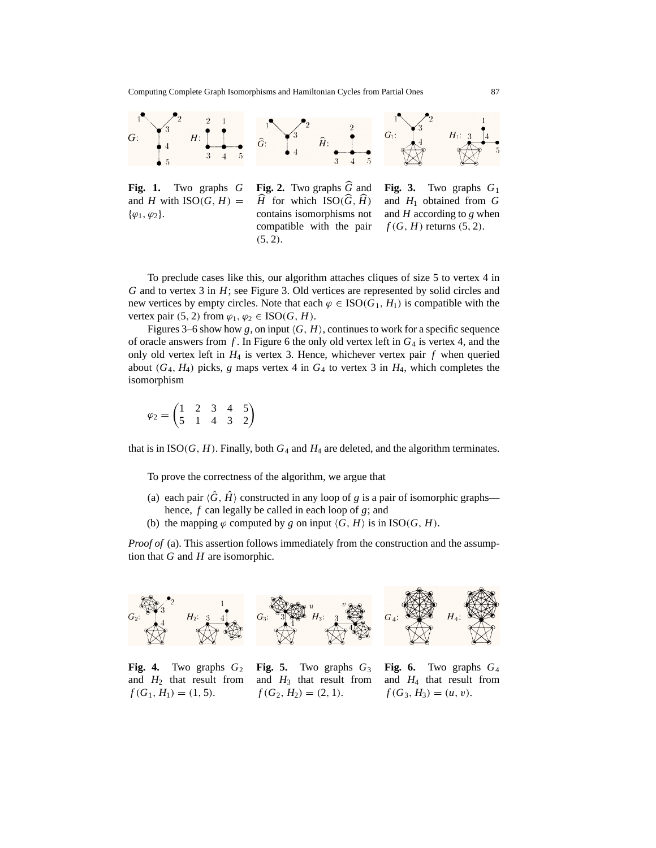Computing Complete Graph Isomorphisms and Hamiltonian Cycles from Partial Ones 87



**Fig. 1.** Two graphs *G* and *H* with  $ISO(G, H) =$  $\{\varphi_1, \varphi_2\}.$ **Fig. 2.** Two graphs  $G$  and *H* for which  $ISO(G, H)$ contains isomorphisms not compatible with the pair  $(5, 2)$ . **Fig. 3.** Two graphs *G*<sup>1</sup> and *H*<sup>1</sup> obtained from *G* and *H* according to *g* when  $f(G, H)$  returns  $(5, 2)$ .

To preclude cases like this, our algorithm attaches cliques of size 5 to vertex 4 in *G* and to vertex 3 in *H*; see Figure 3. Old vertices are represented by solid circles and new vertices by empty circles. Note that each  $\varphi \in ISO(G_1, H_1)$  is compatible with the vertex pair (5, 2) from  $\varphi_1, \varphi_2 \in ISO(G, H)$ .

Figures 3–6 show how *g*, on input  $\langle G, H \rangle$ , continues to work for a specific sequence of oracle answers from *f* . In Figure 6 the only old vertex left in *G*<sup>4</sup> is vertex 4, and the only old vertex left in  $H_4$  is vertex 3. Hence, whichever vertex pair  $f$  when queried about  $(G_4, H_4)$  picks, *g* maps vertex 4 in  $G_4$  to vertex 3 in  $H_4$ , which completes the isomorphism

$$
\varphi_2 = \begin{pmatrix} 1 & 2 & 3 & 4 & 5 \\ 5 & 1 & 4 & 3 & 2 \end{pmatrix}
$$

that is in  $ISO(G, H)$ . Finally, both  $G_4$  and  $H_4$  are deleted, and the algorithm terminates.

To prove the correctness of the algorithm, we argue that

- (a) each pair  $\langle \hat{G}, \hat{H} \rangle$  constructed in any loop of *g* is a pair of isomorphic graphs hence, *f* can legally be called in each loop of *g*; and
- (b) the mapping  $\varphi$  computed by *g* on input  $\langle G, H \rangle$  is in ISO(*G*, *H*).

*Proof of* (a). This assertion follows immediately from the construction and the assumption that *G* and *H* are isomorphic.



 $f(G_1, H_1) = (1, 5).$ 

**Fig. 4.** Two graphs  $G_2$  **Fig. 5.** Two graphs  $G_3$ and  $H_2$  that result from and  $H_3$  that result from  $f(G_2, H_2) = (2, 1).$ 

**Fig. 6.** Two graphs *G*<sup>4</sup> and *H*<sup>4</sup> that result from  $f(G_3, H_3) = (u, v).$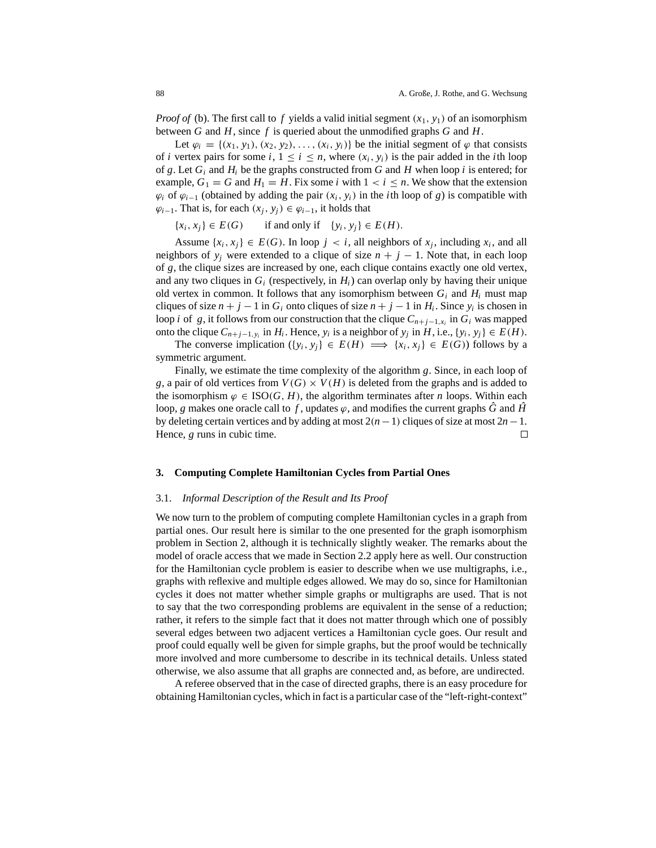*Proof of* (b). The first call to f yields a valid initial segment  $(x_1, y_1)$  of an isomorphism between *G* and *H*, since *f* is queried about the unmodified graphs *G* and *H*.

Let  $\varphi_i = \{(x_1, y_1), (x_2, y_2), \ldots, (x_i, y_i)\}\$  be the initial segment of  $\varphi$  that consists of *i* vertex pairs for some *i*,  $1 \le i \le n$ , where  $(x_i, y_i)$  is the pair added in the *i*th loop of *g*. Let *Gi* and *Hi* be the graphs constructed from *G* and *H* when loop *i* is entered; for example,  $G_1 = G$  and  $H_1 = H$ . Fix some *i* with  $1 < i \leq n$ . We show that the extension  $\varphi_i$  of  $\varphi_{i-1}$  (obtained by adding the pair  $(x_i, y_i)$  in the *i*th loop of *g*) is compatible with  $\varphi$ <sub>*i*−1</sub>. That is, for each  $(x_j, y_j) \in \varphi$ <sub>*i*−1</sub>, it holds that

 ${x_i, x_j} \in E(G)$  if and only if  ${y_i, y_j} \in E(H)$ .

Assume  $\{x_i, x_j\} \in E(G)$ . In loop  $j \lt i$ , all neighbors of  $x_j$ , including  $x_i$ , and all neighbors of  $y_i$  were extended to a clique of size  $n + j - 1$ . Note that, in each loop of *g*, the clique sizes are increased by one, each clique contains exactly one old vertex, and any two cliques in  $G_i$  (respectively, in  $H_i$ ) can overlap only by having their unique old vertex in common. It follows that any isomorphism between  $G_i$  and  $H_i$  must map cliques of size  $n + j - 1$  in  $G_i$  onto cliques of size  $n + j - 1$  in  $H_i$ . Since  $y_i$  is chosen in loop *i* of *g*, it follows from our construction that the clique  $C_{n+j-1,x_i}$  in  $G_i$  was mapped onto the clique  $C_{n+j-1,y_i}$  in  $H_i$ . Hence,  $y_i$  is a neighbor of  $y_j$  in  $H$ , i.e.,  $\{y_i, y_j\}$  ∈  $E(H)$ .

The converse implication  $({y_i, y_j}) \in E(H) \implies {x_i, x_j} \in E(G)$  follows by a symmetric argument.

Finally, we estimate the time complexity of the algorithm *g*. Since, in each loop of *g*, a pair of old vertices from  $V(G) \times V(H)$  is deleted from the graphs and is added to the isomorphism  $\varphi \in ISO(G, H)$ , the algorithm terminates after *n* loops. Within each loop, *g* makes one oracle call to *f*, updates  $\varphi$ , and modifies the current graphs  $\ddot{G}$  and  $\dot{H}$ by deleting certain vertices and by adding at most 2(*n* −1) cliques of size at most 2*n* −1. Hence, *g* runs in cubic time.  $\Box$ 

## **3. Computing Complete Hamiltonian Cycles from Partial Ones**

#### 3.1. *Informal Description of the Result and Its Proof*

We now turn to the problem of computing complete Hamiltonian cycles in a graph from partial ones. Our result here is similar to the one presented for the graph isomorphism problem in Section 2, although it is technically slightly weaker. The remarks about the model of oracle access that we made in Section 2.2 apply here as well. Our construction for the Hamiltonian cycle problem is easier to describe when we use multigraphs, i.e., graphs with reflexive and multiple edges allowed. We may do so, since for Hamiltonian cycles it does not matter whether simple graphs or multigraphs are used. That is not to say that the two corresponding problems are equivalent in the sense of a reduction; rather, it refers to the simple fact that it does not matter through which one of possibly several edges between two adjacent vertices a Hamiltonian cycle goes. Our result and proof could equally well be given for simple graphs, but the proof would be technically more involved and more cumbersome to describe in its technical details. Unless stated otherwise, we also assume that all graphs are connected and, as before, are undirected.

A referee observed that in the case of directed graphs, there is an easy procedure for obtaining Hamiltonian cycles, which in fact is a particular case of the "left-right-context"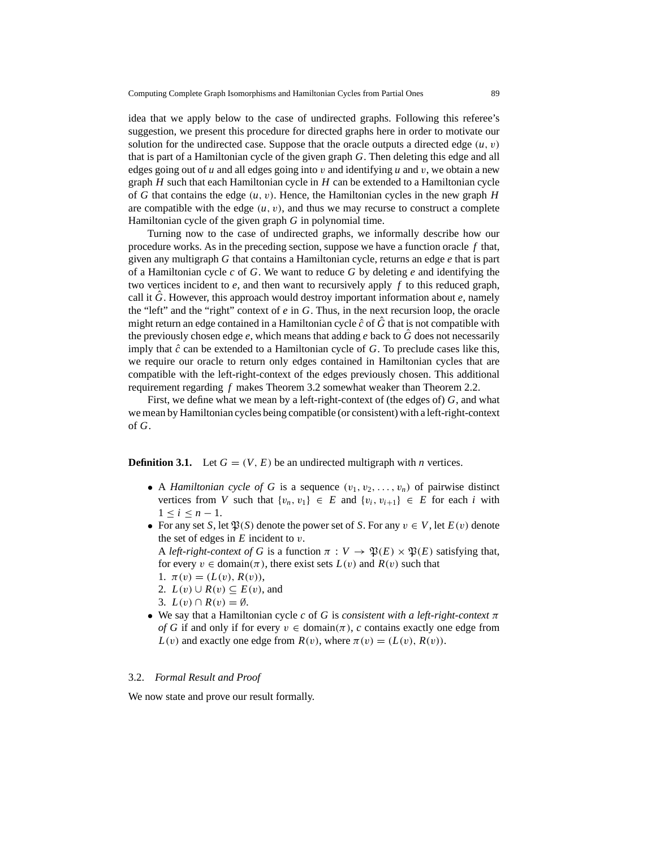idea that we apply below to the case of undirected graphs. Following this referee's suggestion, we present this procedure for directed graphs here in order to motivate our solution for the undirected case. Suppose that the oracle outputs a directed edge  $(u, v)$ that is part of a Hamiltonian cycle of the given graph *G*. Then deleting this edge and all edges going out of *u* and all edges going into v and identifying *u* and v, we obtain a new graph *H* such that each Hamiltonian cycle in *H* can be extended to a Hamiltonian cycle of *G* that contains the edge (*u*, v). Hence, the Hamiltonian cycles in the new graph *H* are compatible with the edge  $(u, v)$ , and thus we may recurse to construct a complete Hamiltonian cycle of the given graph *G* in polynomial time.

Turning now to the case of undirected graphs, we informally describe how our procedure works. As in the preceding section, suppose we have a function oracle *f* that, given any multigraph *G* that contains a Hamiltonian cycle, returns an edge *e* that is part of a Hamiltonian cycle *c* of *G*. We want to reduce *G* by deleting *e* and identifying the two vertices incident to *e*, and then want to recursively apply *f* to this reduced graph, call it  $\hat{G}$ . However, this approach would destroy important information about  $e$ , namely the "left" and the "right" context of  $e$  in  $G$ . Thus, in the next recursion loop, the oracle might return an edge contained in a Hamiltonian cycle  $\hat{c}$  of  $\hat{G}$  that is not compatible with the previously chosen edge  $e$ , which means that adding  $e$  back to  $\tilde{G}$  does not necessarily imply that  $\hat{c}$  can be extended to a Hamiltonian cycle of  $G$ . To preclude cases like this, we require our oracle to return only edges contained in Hamiltonian cycles that are compatible with the left-right-context of the edges previously chosen. This additional requirement regarding *f* makes Theorem 3.2 somewhat weaker than Theorem 2.2.

First, we define what we mean by a left-right-context of (the edges of) *G*, and what we mean by Hamiltonian cycles being compatible (or consistent) with a left-right-context of *G*.

**Definition 3.1.** Let  $G = (V, E)$  be an undirected multigraph with *n* vertices.

- A *Hamiltonian cycle of G* is a sequence  $(v_1, v_2, \ldots, v_n)$  of pairwise distinct vertices from *V* such that  $\{v_n, v_1\} \in E$  and  $\{v_i, v_{i+1}\} \in E$  for each *i* with  $1 \le i \le n - 1$ .
- For any set *S*, let  $\mathfrak{P}(S)$  denote the power set of *S*. For any  $v \in V$ , let  $E(v)$  denote the set of edges in *E* incident to v.

A *left-right-context of G* is a function  $\pi : V \to \mathfrak{P}(E) \times \mathfrak{P}(E)$  satisfying that, for every  $v \in \text{domain}(\pi)$ , there exist sets  $L(v)$  and  $R(v)$  such that

- 1.  $\pi(v) = (L(v), R(v)),$
- 2.  $L(v) \cup R(v) \subseteq E(v)$ , and
- 3.  $L(v) \cap R(v) = \emptyset$ .
- We say that a Hamiltonian cycle *c* of *G* is *consistent with a left-right-context*  $\pi$ *of G* if and only if for every  $v \in \text{domain}(\pi)$ , *c* contains exactly one edge from  $L(v)$  and exactly one edge from  $R(v)$ , where  $\pi(v) = (L(v), R(v))$ .

# 3.2. *Formal Result and Proof*

We now state and prove our result formally.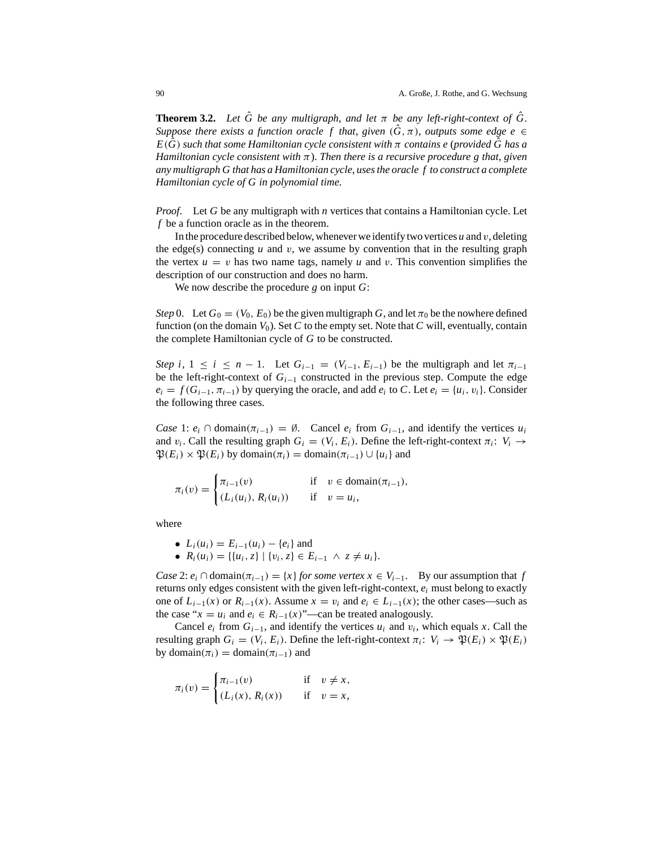**Theorem 3.2.** Let  $\hat{G}$  be any multigraph, and let  $\pi$  be any left-right-context of  $\hat{G}$ . *Suppose there exists a function oracle f that, given*  $(\hat{G}, \pi)$ *, outputs some edge e*  $\in$  $E(G)$  *such that some Hamiltonian cycle consistent with*  $\pi$  *contains e* (*provided*  $\tilde{G}$  *has a Hamiltonian cycle consistent with* π). *Then there is a recursive procedure g that*, *given any multigraph G that has a Hamiltonian cycle*, *uses the oracle f to construct a complete Hamiltonian cycle of G in polynomial time*.

*Proof*. Let *G* be any multigraph with *n* vertices that contains a Hamiltonian cycle. Let *f* be a function oracle as in the theorem.

In the procedure described below, whenever we identify two vertices *u* and v, deleting the edge(s) connecting  $u$  and  $v$ , we assume by convention that in the resulting graph the vertex  $u = v$  has two name tags, namely *u* and *v*. This convention simplifies the description of our construction and does no harm.

We now describe the procedure *g* on input *G*:

*Step* 0. Let  $G_0 = (V_0, E_0)$  be the given multigraph *G*, and let  $\pi_0$  be the nowhere defined function (on the domain  $V_0$ ). Set C to the empty set. Note that C will, eventually, contain the complete Hamiltonian cycle of *G* to be constructed.

*Step i*,  $1 \le i \le n - 1$ . Let  $G_{i-1} = (V_{i-1}, E_{i-1})$  be the multigraph and let  $\pi_{i-1}$ be the left-right-context of *Gi*<sup>−</sup><sup>1</sup> constructed in the previous step. Compute the edge  $e_i = f(G_{i-1}, \pi_{i-1})$  by querying the oracle, and add  $e_i$  to *C*. Let  $e_i = \{u_i, v_i\}$ . Consider the following three cases.

*Case* 1:  $e_i \cap \text{domain}(\pi_{i-1}) = \emptyset$ . Cancel  $e_i$  from  $G_{i-1}$ , and identify the vertices  $u_i$ and  $v_i$ . Call the resulting graph  $G_i = (V_i, E_i)$ . Define the left-right-context  $\pi_i : V_i \rightarrow$  $\mathfrak{P}(E_i) \times \mathfrak{P}(E_i)$  by domain $(\pi_i) = \text{domain}(\pi_{i-1}) \cup \{u_i\}$  and

$$
\pi_i(v) = \begin{cases} \pi_{i-1}(v) & \text{if } v \in \text{domain}(\pi_{i-1}), \\ (L_i(u_i), R_i(u_i)) & \text{if } v = u_i, \end{cases}
$$

where

• 
$$
L_i(u_i) = E_{i-1}(u_i) - \{e_i\}
$$
 and

•  $R_i(u_i) = \{ \{u_i, z\} \mid \{v_i, z\} \in E_{i-1} \land z \neq u_i \}.$ 

*Case* 2:  $e_i \cap \text{domain}(\pi_{i-1}) = \{x\}$  *for some vertex*  $x \in V_{i-1}$ . By our assumption that *f* returns only edges consistent with the given left-right-context, *ei* must belong to exactly one of  $L_{i-1}(x)$  or  $R_{i-1}(x)$ . Assume  $x = v_i$  and  $e_i \in L_{i-1}(x)$ ; the other cases—such as the case " $x = u_i$  and  $e_i \in R_{i-1}(x)$ "—can be treated analogously.

Cancel  $e_i$  from  $G_{i-1}$ , and identify the vertices  $u_i$  and  $v_i$ , which equals *x*. Call the resulting graph  $G_i = (V_i, E_i)$ . Define the left-right-context  $\pi_i : V_i \to \mathfrak{P}(E_i) \times \mathfrak{P}(E_i)$ by domain( $\pi$ <sup>*i*</sup>) = domain( $\pi$ <sup>*i*</sup>-1) and

$$
\pi_i(v) = \begin{cases} \pi_{i-1}(v) & \text{if } v \neq x, \\ (L_i(x), R_i(x)) & \text{if } v = x, \end{cases}
$$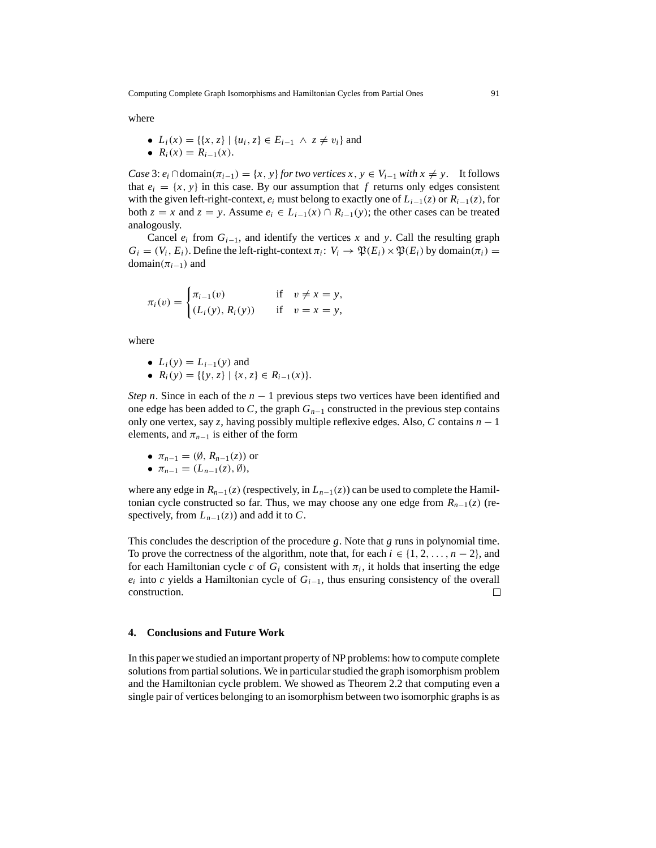where

• 
$$
L_i(x) = \{ \{x, z\} \mid \{u_i, z\} \in E_{i-1} \land z \neq v_i \}
$$
 and

•  $R_i(x) = R_{i-1}(x)$ .

*Case* 3:  $e_i \cap \text{domain}(\pi_{i-1}) = \{x, y\}$  *for two vertices*  $x, y \in V_{i-1}$  *with*  $x \neq y$ . It follows that  $e_i = \{x, y\}$  in this case. By our assumption that  $f$  returns only edges consistent with the given left-right-context,  $e_i$  must belong to exactly one of  $L_{i-1}(z)$  or  $R_{i-1}(z)$ , for both  $z = x$  and  $z = y$ . Assume  $e_i \in L_{i-1}(x) \cap R_{i-1}(y)$ ; the other cases can be treated analogously.

Cancel  $e_i$  from  $G_{i-1}$ , and identify the vertices x and y. Call the resulting graph  $G_i = (V_i, E_i)$ . Define the left-right-context  $\pi_i: V_i \to \mathfrak{P}(E_i) \times \mathfrak{P}(E_i)$  by domain $(\pi_i)$ domain( $\pi_{i-1}$ ) and

$$
\pi_i(v) = \begin{cases} \pi_{i-1}(v) & \text{if } v \neq x = y, \\ (L_i(y), R_i(y)) & \text{if } v = x = y, \end{cases}
$$

where

• 
$$
L_i(y) = L_{i-1}(y)
$$
 and

•  $R_i(y) = \{ \{y, z\} | \{x, z\} \in R_{i-1}(x) \}.$ 

*Step n*. Since in each of the *n* − 1 previous steps two vertices have been identified and one edge has been added to  $C$ , the graph  $G_{n-1}$  constructed in the previous step contains only one vertex, say *z*, having possibly multiple reflexive edges. Also, *C* contains *n* − 1 elements, and  $\pi_{n-1}$  is either of the form

• 
$$
\pi_{n-1} = (\emptyset, R_{n-1}(z))
$$
 or

$$
\bullet \ \pi_{n-1}=(L_{n-1}(z),\emptyset),
$$

where any edge in  $R_{n-1}(z)$  (respectively, in  $L_{n-1}(z)$ ) can be used to complete the Hamiltonian cycle constructed so far. Thus, we may choose any one edge from  $R_{n-1}(z)$  (respectively, from  $L_{n-1}(z)$ ) and add it to *C*.

This concludes the description of the procedure *g*. Note that *g* runs in polynomial time. To prove the correctness of the algorithm, note that, for each  $i \in \{1, 2, ..., n-2\}$ , and for each Hamiltonian cycle *c* of  $G_i$  consistent with  $\pi_i$ , it holds that inserting the edge *e<sub>i</sub>* into *c* yields a Hamiltonian cycle of  $G<sub>i-1</sub>$ , thus ensuring consistency of the overall construction.  $\Box$ 

#### **4. Conclusions and Future Work**

In this paper we studied an important property of NP problems: how to compute complete solutions from partial solutions. We in particular studied the graph isomorphism problem and the Hamiltonian cycle problem. We showed as Theorem 2.2 that computing even a single pair of vertices belonging to an isomorphism between two isomorphic graphs is as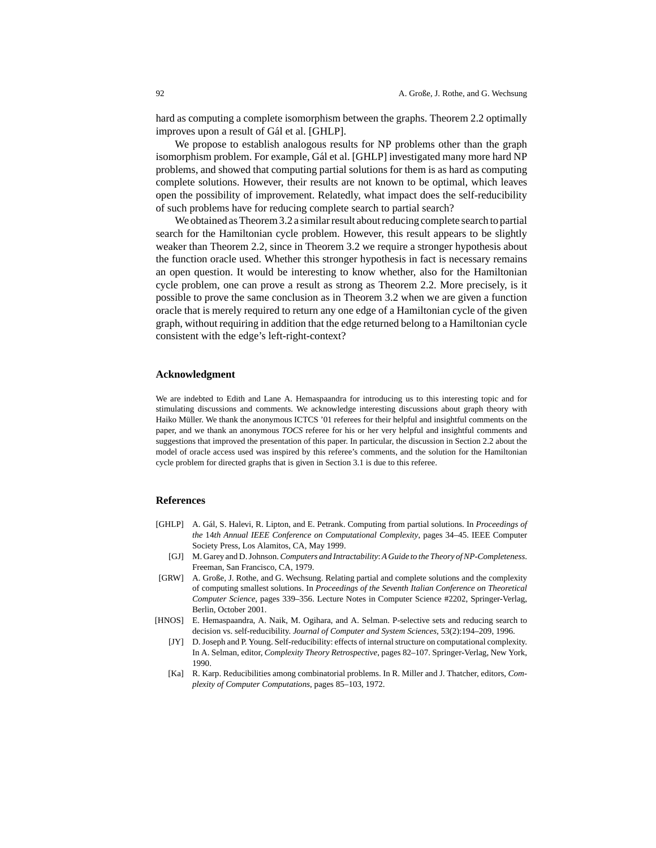hard as computing a complete isomorphism between the graphs. Theorem 2.2 optimally improves upon a result of Gál et al. [GHLP].

We propose to establish analogous results for NP problems other than the graph isomorphism problem. For example, Gál et al. [GHLP] investigated many more hard NP problems, and showed that computing partial solutions for them is as hard as computing complete solutions. However, their results are not known to be optimal, which leaves open the possibility of improvement. Relatedly, what impact does the self-reducibility of such problems have for reducing complete search to partial search?

We obtained as Theorem 3.2 a similar result about reducing complete search to partial search for the Hamiltonian cycle problem. However, this result appears to be slightly weaker than Theorem 2.2, since in Theorem 3.2 we require a stronger hypothesis about the function oracle used. Whether this stronger hypothesis in fact is necessary remains an open question. It would be interesting to know whether, also for the Hamiltonian cycle problem, one can prove a result as strong as Theorem 2.2. More precisely, is it possible to prove the same conclusion as in Theorem 3.2 when we are given a function oracle that is merely required to return any one edge of a Hamiltonian cycle of the given graph, without requiring in addition that the edge returned belong to a Hamiltonian cycle consistent with the edge's left-right-context?

## **Acknowledgment**

We are indebted to Edith and Lane A. Hemaspaandra for introducing us to this interesting topic and for stimulating discussions and comments. We acknowledge interesting discussions about graph theory with Haiko Müller. We thank the anonymous ICTCS '01 referees for their helpful and insightful comments on the paper, and we thank an anonymous *TOCS* referee for his or her very helpful and insightful comments and suggestions that improved the presentation of this paper. In particular, the discussion in Section 2.2 about the model of oracle access used was inspired by this referee's comments, and the solution for the Hamiltonian cycle problem for directed graphs that is given in Section 3.1 is due to this referee.

#### **References**

- [GHLP] A. G´al, S. Halevi, R. Lipton, and E. Petrank. Computing from partial solutions. In *Proceedings of the* 14*th Annual IEEE Conference on Computational Complexity*, pages 34–45. IEEE Computer Society Press, Los Alamitos, CA, May 1999.
	- [GJ] M. Garey and D. Johnson.*Computers and Intractability*: *A Guide to the Theory of NP-Completeness*. Freeman, San Francisco, CA, 1979.
- [GRW] A. Große, J. Rothe, and G. Wechsung. Relating partial and complete solutions and the complexity of computing smallest solutions. In *Proceedings of the Seventh Italian Conference on Theoretical Computer Science*, pages 339–356. Lecture Notes in Computer Science #2202, Springer-Verlag, Berlin, October 2001.
- [HNOS] E. Hemaspaandra, A. Naik, M. Ogihara, and A. Selman. P-selective sets and reducing search to decision vs. self-reducibility. *Journal of Computer and System Sciences*, 53(2):194–209, 1996.
	- [JY] D. Joseph and P. Young. Self-reducibility: effects of internal structure on computational complexity. In A. Selman, editor, *Complexity Theory Retrospective*, pages 82–107. Springer-Verlag, New York, 1990.
	- [Ka] R. Karp. Reducibilities among combinatorial problems. In R. Miller and J. Thatcher, editors, *Complexity of Computer Computations*, pages 85–103, 1972.